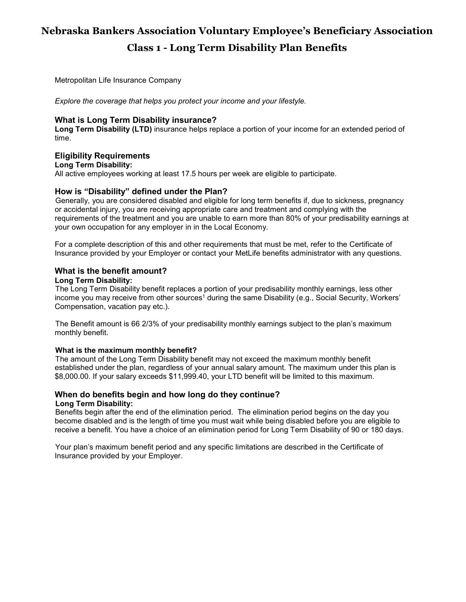# **Nebraska Bankers Association Voluntary Employee's Beneficiary Association Class 1 - Long Term Disability Plan Benefits**

Metropolitan Life Insurance Company

*Explore the coverage that helps you protect your income and your lifestyle.*

# **What is Long Term Disability insurance?**

**Long Term Disability (LTD)** insurance helps replace a portion of your income for an extended period of time.

# **Eligibility Requirements**

#### **Long Term Disability:**

All active employees working at least 17.5 hours per week are eligible to participate.

# **How is "Disability" defined under the Plan?**

Generally, you are considered disabled and eligible for long term benefits if, due to sickness, pregnancy or accidental injury, you are receiving appropriate care and treatment and complying with the requirements of the treatment and you are unable to earn more than 80% of your predisability earnings at your own occupation for any employer in in the Local Economy.

For a complete description of this and other requirements that must be met, refer to the Certificate of Insurance provided by your Employer or contact your MetLife benefits administrator with any questions.

# **What is the benefit amount?**

#### **Long Term Disability:**

The Long Term Disability benefit replaces a portion of your predisability monthly earnings, less other income you may receive from other sources<sup>1</sup> during the same Disability (e.g., Social Security, Workers' Compensation, vacation pay etc.).

The Benefit amount is 66 2/3% of your predisability monthly earnings subject to the plan's maximum monthly benefit.

# **What is the maximum monthly benefit?**

The amount of the Long Term Disability benefit may not exceed the maximum monthly benefit established under the plan, regardless of your annual salary amount. The maximum under this plan is \$8,000.00. If your salary exceeds \$11,999.40, your LTD benefit will be limited to this maximum.

#### **When do benefits begin and how long do they continue? Long Term Disability:**

Benefits begin after the end of the elimination period. The elimination period begins on the day you become disabled and is the length of time you must wait while being disabled before you are eligible to receive a benefit. You have a choice of an elimination period for Long Term Disability of 90 or 180 days.

Your plan's maximum benefit period and any specific limitations are described in the Certificate of Insurance provided by your Employer.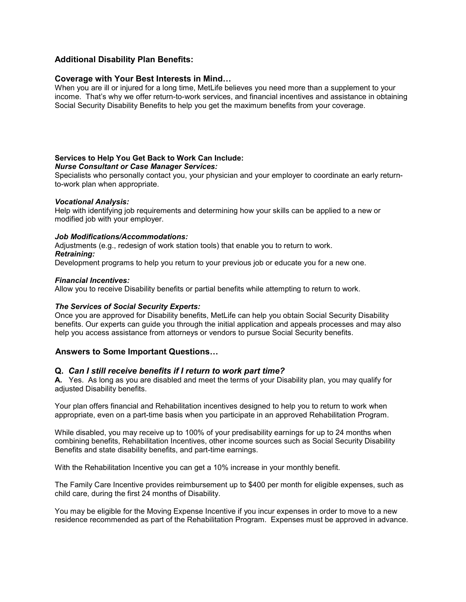# **Additional Disability Plan Benefits:**

#### **Coverage with Your Best Interests in Mind…**

When you are ill or injured for a long time, MetLife believes you need more than a supplement to your income. That's why we offer return-to-work services, and financial incentives and assistance in obtaining Social Security Disability Benefits to help you get the maximum benefits from your coverage.

#### **Services to Help You Get Back to Work Can Include:**

#### *Nurse Consultant or Case Manager Services:*

Specialists who personally contact you, your physician and your employer to coordinate an early returnto-work plan when appropriate.

#### *Vocational Analysis:*

Help with identifying job requirements and determining how your skills can be applied to a new or modified job with your employer.

#### *Job Modifications/Accommodations:*

Adjustments (e.g., redesign of work station tools) that enable you to return to work.

#### *Retraining:*

Development programs to help you return to your previous job or educate you for a new one.

#### *Financial Incentives:*

Allow you to receive Disability benefits or partial benefits while attempting to return to work.

#### *The Services of Social Security Experts:*

Once you are approved for Disability benefits, MetLife can help you obtain Social Security Disability benefits. Our experts can guide you through the initial application and appeals processes and may also help you access assistance from attorneys or vendors to pursue Social Security benefits.

#### **Answers to Some Important Questions…**

#### **Q.** *Can I still receive benefits if I return to work part time?*

**A.** Yes. As long as you are disabled and meet the terms of your Disability plan, you may qualify for adjusted Disability benefits.

Your plan offers financial and Rehabilitation incentives designed to help you to return to work when appropriate, even on a part-time basis when you participate in an approved Rehabilitation Program.

While disabled, you may receive up to 100% of your predisability earnings for up to 24 months when combining benefits, Rehabilitation Incentives, other income sources such as Social Security Disability Benefits and state disability benefits, and part-time earnings.

With the Rehabilitation Incentive you can get a 10% increase in your monthly benefit.

The Family Care Incentive provides reimbursement up to \$400 per month for eligible expenses, such as child care, during the first 24 months of Disability.

You may be eligible for the Moving Expense Incentive if you incur expenses in order to move to a new residence recommended as part of the Rehabilitation Program. Expenses must be approved in advance.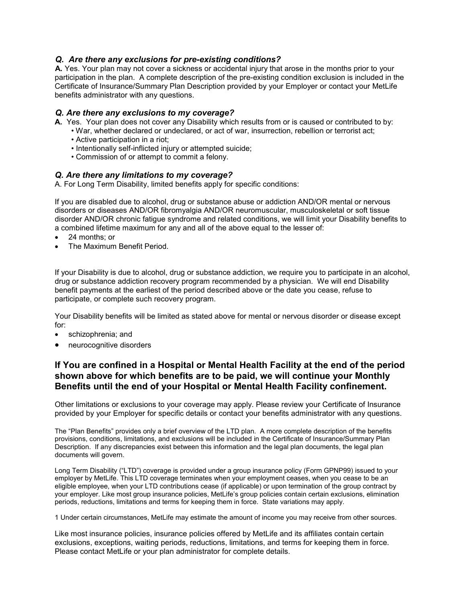# *Q. Are there any exclusions for pre-existing conditions?*

**A.** Yes. Your plan may not cover a sickness or accidental injury that arose in the months prior to your participation in the plan. A complete description of the pre-existing condition exclusion is included in the Certificate of Insurance/Summary Plan Description provided by your Employer or contact your MetLife benefits administrator with any questions.

### *Q. Are there any exclusions to my coverage?*

**A.** Yes. Your plan does not cover any Disability which results from or is caused or contributed to by:

- War, whether declared or undeclared, or act of war, insurrection, rebellion or terrorist act;
- Active participation in a riot;
- Intentionally self-inflicted injury or attempted suicide;
- Commission of or attempt to commit a felony.

# *Q. Are there any limitations to my coverage?*

A. For Long Term Disability, limited benefits apply for specific conditions:

If you are disabled due to alcohol, drug or substance abuse or addiction AND/OR mental or nervous disorders or diseases AND/OR fibromyalgia AND/OR neuromuscular, musculoskeletal or soft tissue disorder AND/OR chronic fatigue syndrome and related conditions, we will limit your Disability benefits to a combined lifetime maximum for any and all of the above equal to the lesser of:

- 24 months; or
- The Maximum Benefit Period.

If your Disability is due to alcohol, drug or substance addiction, we require you to participate in an alcohol, drug or substance addiction recovery program recommended by a physician. We will end Disability benefit payments at the earliest of the period described above or the date you cease, refuse to participate, or complete such recovery program.

Your Disability benefits will be limited as stated above for mental or nervous disorder or disease except for:

- schizophrenia; and
- neurocognitive disorders

# **If You are confined in a Hospital or Mental Health Facility at the end of the period shown above for which benefits are to be paid, we will continue your Monthly Benefits until the end of your Hospital or Mental Health Facility confinement.**

Other limitations or exclusions to your coverage may apply. Please review your Certificate of Insurance provided by your Employer for specific details or contact your benefits administrator with any questions.

The "Plan Benefits" provides only a brief overview of the LTD plan. A more complete description of the benefits provisions, conditions, limitations, and exclusions will be included in the Certificate of Insurance/Summary Plan Description. If any discrepancies exist between this information and the legal plan documents, the legal plan documents will govern.

Long Term Disability ("LTD") coverage is provided under a group insurance policy (Form GPNP99) issued to your employer by MetLife. This LTD coverage terminates when your employment ceases, when you cease to be an eligible employee, when your LTD contributions cease (if applicable) or upon termination of the group contract by your employer. Like most group insurance policies, MetLife's group policies contain certain exclusions, elimination periods, reductions, limitations and terms for keeping them in force. State variations may apply.

1 Under certain circumstances, MetLife may estimate the amount of income you may receive from other sources.

Like most insurance policies, insurance policies offered by MetLife and its affiliates contain certain exclusions, exceptions, waiting periods, reductions, limitations, and terms for keeping them in force. Please contact MetLife or your plan administrator for complete details.